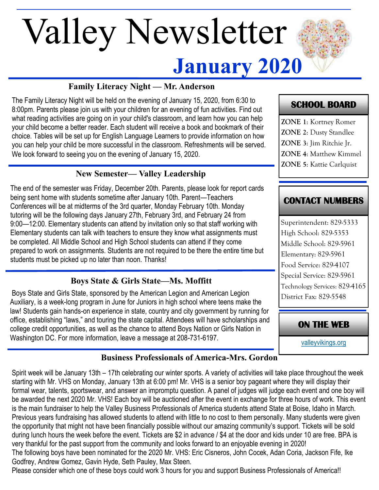# **January 2020** Valley Newsletter

## **Family Literacy Night — Mr. Anderson**

The Family Literacy Night will be held on the evening of January 15, 2020, from 6:30 to 8:00pm. Parents please join us with your children for an evening of fun activities. Find out what reading activities are going on in your child's classroom, and learn how you can help your child become a better reader. Each student will receive a book and bookmark of their choice. Tables will be set up for English Language Learners to provide information on how you can help your child be more successful in the classroom. Refreshments will be served. We look forward to seeing you on the evening of January 15, 2020.

## **New Semester— Valley Leadership**

The end of the semester was Friday, December 20th. Parents, please look for report cards being sent home with students sometime after January 10th. Parent—Teachers Conferences will be at midterms of the 3rd quarter, Monday February 10th. Monday tutoring will be the following days January 27th, February 3rd, and February 24 from 9:00—12:00. Elementary students can attend by invitation only so that staff working with Elementary students can talk with teachers to ensure they know what assignments must be completed. All Middle School and High School students can attend if they come prepared to work on assignments. Students are not required to be there the entire time but students must be picked up no later than noon. Thanks!

## **Boys State & Girls State—Ms. Moffitt**

Boys State and Girls State, sponsored by the American Legion and American Legion Auxiliary, is a week-long program in June for Juniors in high school where teens make the law! Students gain hands-on experience in state, country and city government by running for office, establishing "laws," and touring the state capital. Attendees will have scholarships and college credit opportunities, as well as the chance to attend Boys Nation or Girls Nation in Washington DC. For more information, leave a message at 208-731-6197.

# **SCHOOL BOARD**

**ZONE 1**: Kortney Romer **ZONE 2**: Dusty Standlee **ZONE 3**: Jim Ritchie Jr. **ZONE 4**: Matthew Kimmel **ZONE 5**: Kattie Carlquist

# **CONTACT NUMBERS**

Superintendent: 829-5333 High School: 829-5353 Middle School: 829-5961 Elementary: 829-5961 Food Service: 829-4107 Special Service: 829-5961 Technology Services: 829-4165 District Fax: 829-5548

**ON THE WEB** 

[valleyvikings.org](http://www.valleyvikings.org/)

## **Business Professionals of America-Mrs. Gordon**

Spirit week will be January 13th – 17th celebrating our winter sports. A variety of activities will take place throughout the week starting with Mr. VHS on Monday, January 13th at 6:00 pm! Mr. VHS is a senior boy pageant where they will display their formal wear, talents, sportswear, and answer an impromptu question. A panel of judges will judge each event and one boy will be awarded the next 2020 Mr. VHS! Each boy will be auctioned after the event in exchange for three hours of work. This event is the main fundraiser to help the Valley Business Professionals of America students attend State at Boise, Idaho in March. Previous years fundraising has allowed students to attend with little to no cost to them personally. Many students were given the opportunity that might not have been financially possible without our amazing community's support. Tickets will be sold during lunch hours the week before the event. Tickets are \$2 in advance / \$4 at the door and kids under 10 are free. BPA is very thankful for the past support from the community and looks forward to an enjoyable evening in 2020!

The following boys have been nominated for the 2020 Mr. VHS: Eric Cisneros, John Cocek, Adan Coria, Jackson Fife, Ike Godfrey, Andrew Gomez, Gavin Hyde, Seth Pauley, Max Steen.

Please consider which one of these boys could work 3 hours for you and support Business Professionals of America!!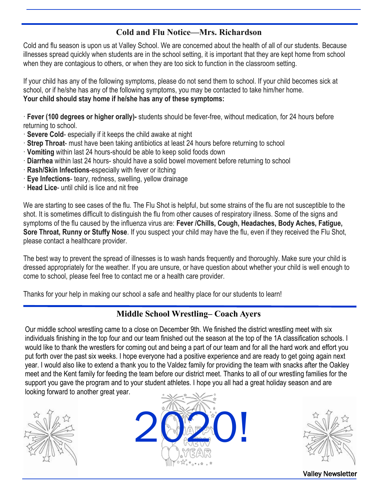#### **Cold and Flu Notice—Mrs. Richardson**

Cold and flu season is upon us at Valley School. We are concerned about the health of all of our students. Because illnesses spread quickly when students are in the school setting, it is important that they are kept home from school when they are contagious to others, or when they are too sick to function in the classroom setting.

If your child has any of the following symptoms, please do not send them to school. If your child becomes sick at school, or if he/she has any of the following symptoms, you may be contacted to take him/her home. **Your child should stay home if he/she has any of these symptoms:**

· **Fever (100 degrees or higher orally)-** students should be fever-free, without medication, for 24 hours before returning to school.

- · **Severe Cold** especially if it keeps the child awake at night
- · **Strep Throat** must have been taking antibiotics at least 24 hours before returning to school
- · **Vomiting** within last 24 hours-should be able to keep solid foods down
- · **Diarrhea** within last 24 hours- should have a solid bowel movement before returning to school
- · **Rash/Skin Infections**-especially with fever or itching
- · **Eye Infections** teary, redness, swelling, yellow drainage
- · **Head Lice** until child is lice and nit free

We are starting to see cases of the flu. The Flu Shot is helpful, but some strains of the flu are not susceptible to the shot. It is sometimes difficult to distinguish the flu from other causes of respiratory illness. Some of the signs and symptoms of the flu caused by the influenza virus are: **Fever /Chills, Cough, Headaches, Body Aches, Fatigue, Sore Throat, Runny or Stuffy Nose**. If you suspect your child may have the flu, even if they received the Flu Shot, please contact a healthcare provider.

The best way to prevent the spread of illnesses is to wash hands frequently and thoroughly. Make sure your child is dressed appropriately for the weather. If you are unsure, or have question about whether your child is well enough to come to school, please feel free to contact me or a health care provider.

Thanks for your help in making our school a safe and healthy place for our students to learn!

#### **Middle School Wrestling– Coach Ayers**

Our middle school wrestling came to a close on December 9th. We finished the district wrestling meet with six individuals finishing in the top four and our team finished out the season at the top of the 1A classification schools. I would like to thank the wrestlers for coming out and being a part of our team and for all the hard work and effort you put forth over the past six weeks. I hope everyone had a positive experience and are ready to get going again next year. I would also like to extend a thank you to the Valdez family for providing the team with snacks after the Oakley meet and the Kent family for feeding the team before our district meet. Thanks to all of our wrestling families for the support you gave the program and to your student athletes. I hope you all had a great holiday season and are looking forward to another great year.







Valley Newsletter